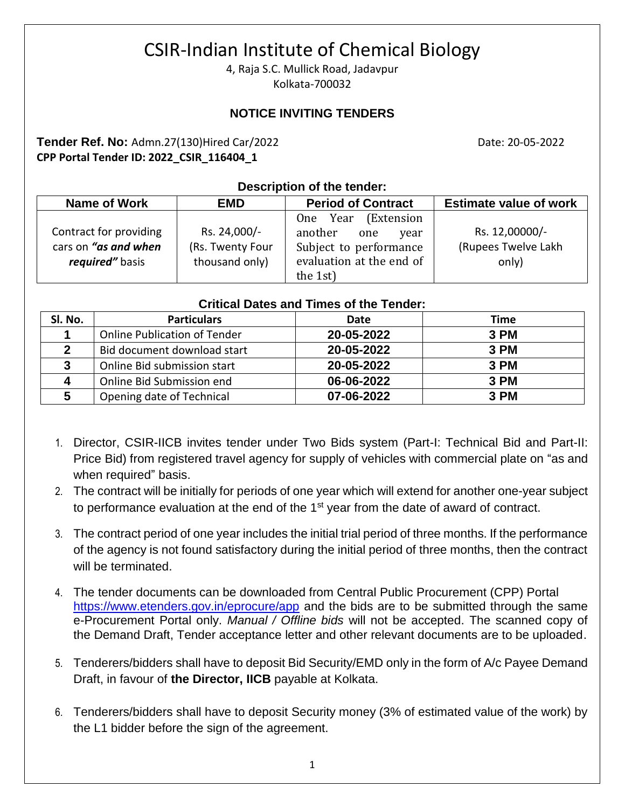# CSIR-Indian Institute of Chemical Biology

4, Raja S.C. Mullick Road, Jadavpur Kolkata-700032

### **NOTICE INVITING TENDERS**

#### **Tender Ref. No:** Admn.27(130)Hired Car/2022 **Date: 20-05-2022** Date: 20-05-2022 **CPP Portal Tender ID: 2022\_CSIR\_116404\_1**

#### **Description of the tender:**

| Name of Work                                                      | <b>EMD</b>                                         | <b>Period of Contract</b>                                                                                       | <b>Estimate value of work</b>                  |  |
|-------------------------------------------------------------------|----------------------------------------------------|-----------------------------------------------------------------------------------------------------------------|------------------------------------------------|--|
| Contract for providing<br>cars on "as and when<br>required" basis | Rs. 24,000/-<br>(Rs. Twenty Four<br>thousand only) | One Year (Extension<br>another<br>one<br>year<br>Subject to performance<br>evaluation at the end of<br>the 1st) | Rs. 12,00000/-<br>(Rupees Twelve Lakh<br>only) |  |

#### **Critical Dates and Times of the Tender:**

| SI. No.     | <b>Particulars</b>                  | Date       | Time |
|-------------|-------------------------------------|------------|------|
|             | <b>Online Publication of Tender</b> | 20-05-2022 | 3 PM |
|             | Bid document download start         | 20-05-2022 | 3 PM |
| 3           | Online Bid submission start         | 20-05-2022 | 3 PM |
| $\mathbf 4$ | Online Bid Submission end           | 06-06-2022 | 3 PM |
| 5           | Opening date of Technical           | 07-06-2022 | 3 PM |

- 1. Director, CSIR-IICB invites tender under Two Bids system (Part-I: Technical Bid and Part-II: Price Bid) from registered travel agency for supply of vehicles with commercial plate on "as and when required" basis.
- 2. The contract will be initially for periods of one year which will extend for another one-year subject to performance evaluation at the end of the 1<sup>st</sup> year from the date of award of contract.
- 3. The contract period of one year includes the initial trial period of three months. If the performance of the agency is not found satisfactory during the initial period of three months, then the contract will be terminated.
- 4. The tender documents can be downloaded from Central Public Procurement (CPP) Portal <https://www.etenders.gov.in/eprocure/app> and the bids are to be submitted through the same e-Procurement Portal only. *Manual / Offline bids* will not be accepted. The scanned copy of the Demand Draft, Tender acceptance letter and other relevant documents are to be uploaded.
- 5. Tenderers/bidders shall have to deposit Bid Security/EMD only in the form of A/c Payee Demand Draft, in favour of **the Director, IICB** payable at Kolkata.
- 6. Tenderers/bidders shall have to deposit Security money (3% of estimated value of the work) by the L1 bidder before the sign of the agreement.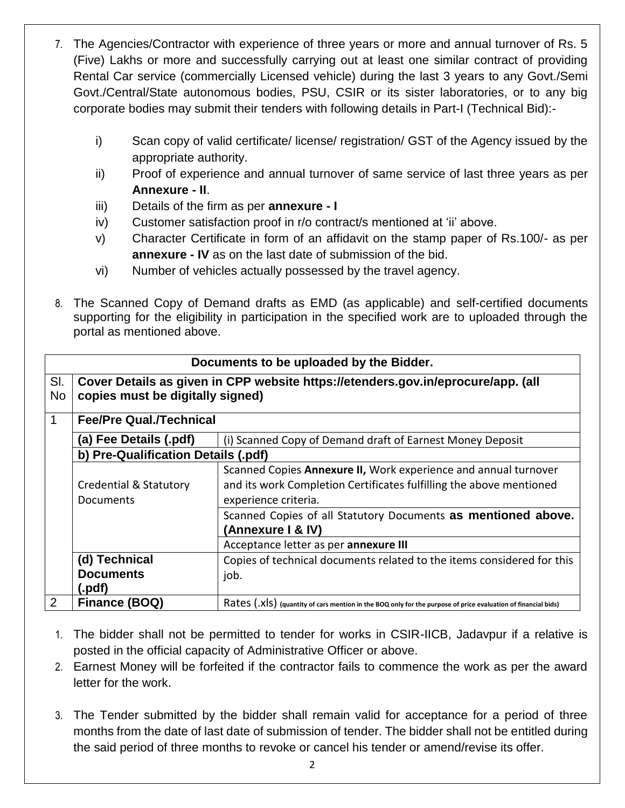- 7. The Agencies/Contractor with experience of three years or more and annual turnover of Rs. 5 (Five) Lakhs or more and successfully carrying out at least one similar contract of providing Rental Car service (commercially Licensed vehicle) during the last 3 years to any Govt./Semi Govt./Central/State autonomous bodies, PSU, CSIR or its sister laboratories, or to any big corporate bodies may submit their tenders with following details in Part-I (Technical Bid):
	- i) Scan copy of valid certificate/ license/ registration/ GST of the Agency issued by the appropriate authority.
	- ii) Proof of experience and annual turnover of same service of last three years as per **Annexure - II**.
	- iii) Details of the firm as per **annexure - I**
	- iv) Customer satisfaction proof in r/o contract/s mentioned at 'ii' above.
	- v) Character Certificate in form of an affidavit on the stamp paper of Rs.100/- as per **annexure - IV** as on the last date of submission of the bid.
	- vi) Number of vehicles actually possessed by the travel agency.
- 8. The Scanned Copy of Demand drafts as EMD (as applicable) and self-certified documents supporting for the eligibility in participation in the specified work are to uploaded through the portal as mentioned above.

| Documents to be uploaded by the Bidder. |                                                                                                                      |                                                                                                                                                                |  |  |  |
|-----------------------------------------|----------------------------------------------------------------------------------------------------------------------|----------------------------------------------------------------------------------------------------------------------------------------------------------------|--|--|--|
| SI.<br><b>No</b>                        | Cover Details as given in CPP website https://etenders.gov.in/eprocure/app. (all<br>copies must be digitally signed) |                                                                                                                                                                |  |  |  |
| $\mathbf 1$                             | <b>Fee/Pre Qual./Technical</b>                                                                                       |                                                                                                                                                                |  |  |  |
|                                         | (a) Fee Details (.pdf)<br>(i) Scanned Copy of Demand draft of Earnest Money Deposit                                  |                                                                                                                                                                |  |  |  |
|                                         | b) Pre-Qualification Details (.pdf)                                                                                  |                                                                                                                                                                |  |  |  |
|                                         | <b>Credential &amp; Statutory</b><br>Documents                                                                       | Scanned Copies Annexure II, Work experience and annual turnover<br>and its work Completion Certificates fulfilling the above mentioned<br>experience criteria. |  |  |  |
|                                         |                                                                                                                      | Scanned Copies of all Statutory Documents as mentioned above.<br><b>(Annexure I &amp; IV)</b>                                                                  |  |  |  |
|                                         |                                                                                                                      | Acceptance letter as per annexure III                                                                                                                          |  |  |  |
|                                         | (d) Technical                                                                                                        | Copies of technical documents related to the items considered for this                                                                                         |  |  |  |
|                                         | <b>Documents</b>                                                                                                     | job.                                                                                                                                                           |  |  |  |
|                                         | (.pdf)                                                                                                               |                                                                                                                                                                |  |  |  |
| 2                                       | Finance (BOQ)                                                                                                        | Rates (.XIS) (quantity of cars mention in the BOQ only for the purpose of price evaluation of financial bids)                                                  |  |  |  |

- 1. The bidder shall not be permitted to tender for works in CSIR-IICB, Jadavpur if a relative is posted in the official capacity of Administrative Officer or above.
- 2. Earnest Money will be forfeited if the contractor fails to commence the work as per the award letter for the work.
- 3. The Tender submitted by the bidder shall remain valid for acceptance for a period of three months from the date of last date of submission of tender. The bidder shall not be entitled during the said period of three months to revoke or cancel his tender or amend/revise its offer.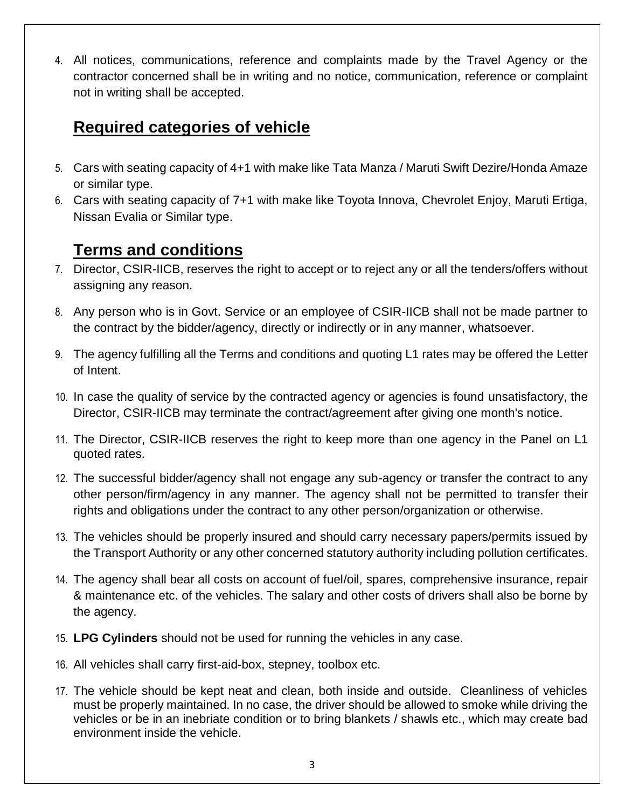4. All notices, communications, reference and complaints made by the Travel Agency or the contractor concerned shall be in writing and no notice, communication, reference or complaint not in writing shall be accepted.

## **Required categories of vehicle**

- 5. Cars with seating capacity of 4+1 with make like Tata Manza / Maruti Swift Dezire/Honda Amaze or similar type.
- 6. Cars with seating capacity of 7+1 with make like Toyota Innova, Chevrolet Enjoy, Maruti Ertiga, Nissan Evalia or Similar type.

## **Terms and conditions**

- 7. Director, CSIR-IICB, reserves the right to accept or to reject any or all the tenders/offers without assigning any reason.
- 8. Any person who is in Govt. Service or an employee of CSIR-IICB shall not be made partner to the contract by the bidder/agency, directly or indirectly or in any manner, whatsoever.
- 9. The agency fulfilling all the Terms and conditions and quoting L1 rates may be offered the Letter of Intent.
- 10. In case the quality of service by the contracted agency or agencies is found unsatisfactory, the Director, CSIR-IICB may terminate the contract/agreement after giving one month's notice.
- 11. The Director, CSIR-IICB reserves the right to keep more than one agency in the Panel on L1 quoted rates.
- 12. The successful bidder/agency shall not engage any sub-agency or transfer the contract to any other person/firm/agency in any manner. The agency shall not be permitted to transfer their rights and obligations under the contract to any other person/organization or otherwise.
- 13. The vehicles should be properly insured and should carry necessary papers/permits issued by the Transport Authority or any other concerned statutory authority including pollution certificates.
- 14. The agency shall bear all costs on account of fuel/oil, spares, comprehensive insurance, repair & maintenance etc. of the vehicles. The salary and other costs of drivers shall also be borne by the agency.
- 15. **LPG Cylinders** should not be used for running the vehicles in any case.
- 16. All vehicles shall carry first-aid-box, stepney, toolbox etc.
- 17. The vehicle should be kept neat and clean, both inside and outside. Cleanliness of vehicles must be properly maintained. In no case, the driver should be allowed to smoke while driving the vehicles or be in an inebriate condition or to bring blankets / shawls etc., which may create bad environment inside the vehicle.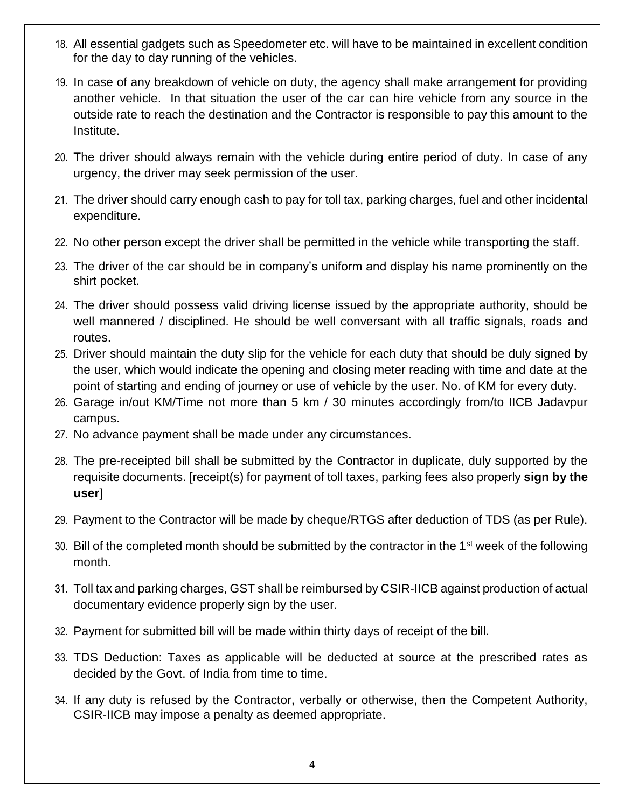- 18. All essential gadgets such as Speedometer etc. will have to be maintained in excellent condition for the day to day running of the vehicles.
- 19. In case of any breakdown of vehicle on duty, the agency shall make arrangement for providing another vehicle. In that situation the user of the car can hire vehicle from any source in the outside rate to reach the destination and the Contractor is responsible to pay this amount to the Institute.
- 20. The driver should always remain with the vehicle during entire period of duty. In case of any urgency, the driver may seek permission of the user.
- 21. The driver should carry enough cash to pay for toll tax, parking charges, fuel and other incidental expenditure.
- 22. No other person except the driver shall be permitted in the vehicle while transporting the staff.
- 23. The driver of the car should be in company's uniform and display his name prominently on the shirt pocket.
- 24. The driver should possess valid driving license issued by the appropriate authority, should be well mannered / disciplined. He should be well conversant with all traffic signals, roads and routes.
- 25. Driver should maintain the duty slip for the vehicle for each duty that should be duly signed by the user, which would indicate the opening and closing meter reading with time and date at the point of starting and ending of journey or use of vehicle by the user. No. of KM for every duty.
- 26. Garage in/out KM/Time not more than 5 km / 30 minutes accordingly from/to IICB Jadavpur campus.
- 27. No advance payment shall be made under any circumstances.
- 28. The pre-receipted bill shall be submitted by the Contractor in duplicate, duly supported by the requisite documents. [receipt(s) for payment of toll taxes, parking fees also properly **sign by the user**]
- 29. Payment to the Contractor will be made by cheque/RTGS after deduction of TDS (as per Rule).
- 30. Bill of the completed month should be submitted by the contractor in the 1<sup>st</sup> week of the following month.
- 31. Toll tax and parking charges, GST shall be reimbursed by CSIR-IICB against production of actual documentary evidence properly sign by the user.
- 32. Payment for submitted bill will be made within thirty days of receipt of the bill.
- 33. TDS Deduction: Taxes as applicable will be deducted at source at the prescribed rates as decided by the Govt. of India from time to time.
- 34. If any duty is refused by the Contractor, verbally or otherwise, then the Competent Authority, CSIR-IICB may impose a penalty as deemed appropriate.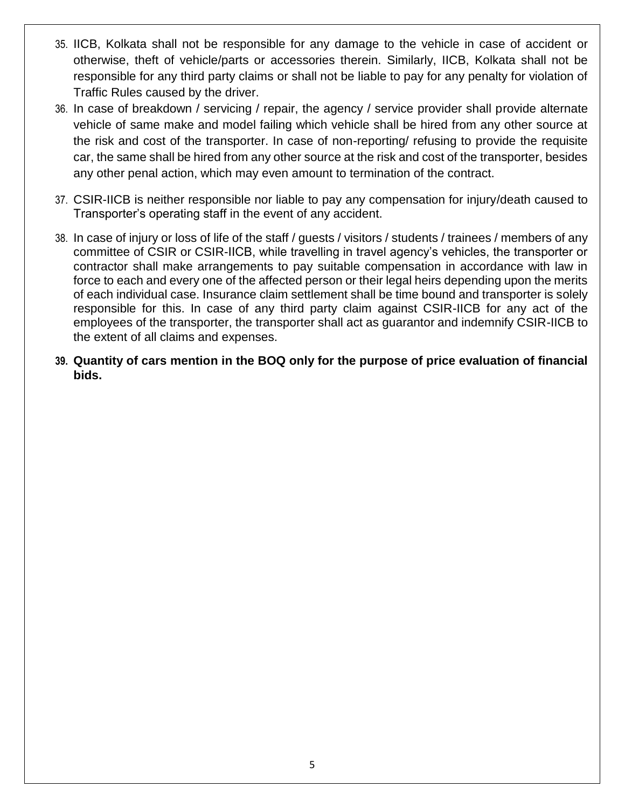- 35. IICB, Kolkata shall not be responsible for any damage to the vehicle in case of accident or otherwise, theft of vehicle/parts or accessories therein. Similarly, IICB, Kolkata shall not be responsible for any third party claims or shall not be liable to pay for any penalty for violation of Traffic Rules caused by the driver.
- 36. In case of breakdown / servicing / repair, the agency / service provider shall provide alternate vehicle of same make and model failing which vehicle shall be hired from any other source at the risk and cost of the transporter. In case of non-reporting/ refusing to provide the requisite car, the same shall be hired from any other source at the risk and cost of the transporter, besides any other penal action, which may even amount to termination of the contract.
- 37. CSIR-IICB is neither responsible nor liable to pay any compensation for injury/death caused to Transporter's operating staff in the event of any accident.
- 38. In case of injury or loss of life of the staff / guests / visitors / students / trainees / members of any committee of CSIR or CSIR-IICB, while travelling in travel agency's vehicles, the transporter or contractor shall make arrangements to pay suitable compensation in accordance with law in force to each and every one of the affected person or their legal heirs depending upon the merits of each individual case. Insurance claim settlement shall be time bound and transporter is solely responsible for this. In case of any third party claim against CSIR-IICB for any act of the employees of the transporter, the transporter shall act as guarantor and indemnify CSIR-IICB to the extent of all claims and expenses.
- **39. Quantity of cars mention in the BOQ only for the purpose of price evaluation of financial bids.**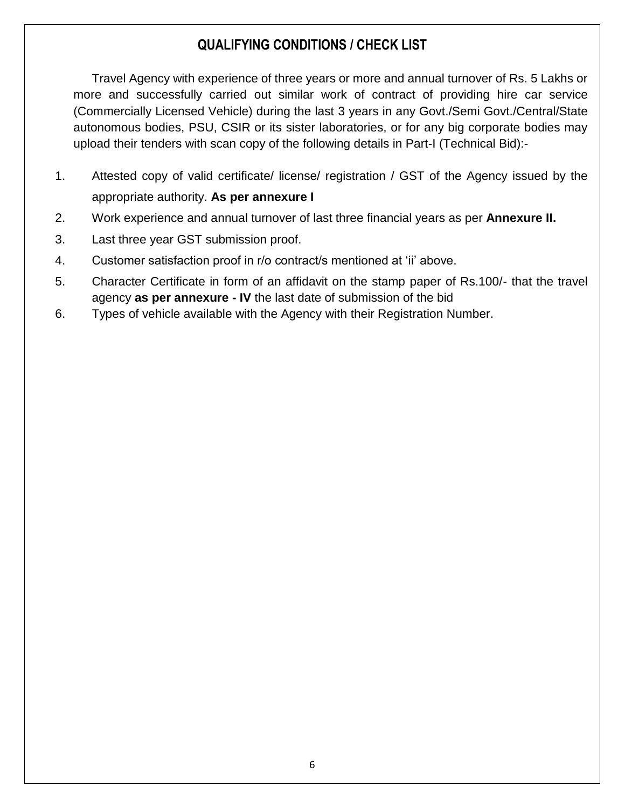### **QUALIFYING CONDITIONS / CHECK LIST**

Travel Agency with experience of three years or more and annual turnover of Rs. 5 Lakhs or more and successfully carried out similar work of contract of providing hire car service (Commercially Licensed Vehicle) during the last 3 years in any Govt./Semi Govt./Central/State autonomous bodies, PSU, CSIR or its sister laboratories, or for any big corporate bodies may upload their tenders with scan copy of the following details in Part-I (Technical Bid):-

- 1. Attested copy of valid certificate/ license/ registration / GST of the Agency issued by the appropriate authority. **As per annexure I**
- 2. Work experience and annual turnover of last three financial years as per **Annexure II.**
- 3. Last three year GST submission proof.
- 4. Customer satisfaction proof in r/o contract/s mentioned at 'ii' above.
- 5. Character Certificate in form of an affidavit on the stamp paper of Rs.100/- that the travel agency **as per annexure - IV** the last date of submission of the bid
- 6. Types of vehicle available with the Agency with their Registration Number.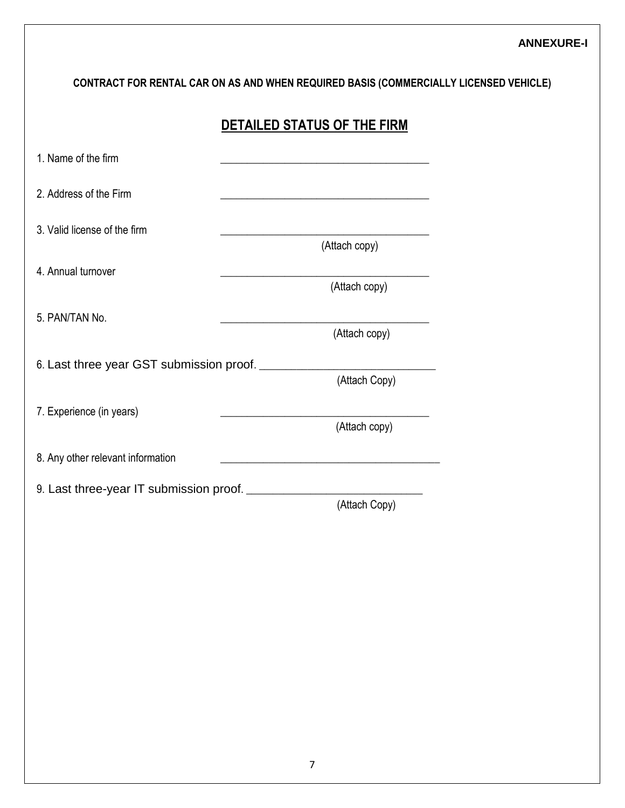**CONTRACT FOR RENTAL CAR ON AS AND WHEN REQUIRED BASIS (COMMERCIALLY LICENSED VEHICLE)**

| 1. Name of the firm               | <u> 1989 - Johann Barbara, martxa alemaniar a</u>                                                                   |
|-----------------------------------|---------------------------------------------------------------------------------------------------------------------|
| 2. Address of the Firm            | <u> 1989 - Johann Barbara, margaret eta idazlea (h. 1989).</u>                                                      |
| 3. Valid license of the firm      |                                                                                                                     |
| 4. Annual turnover                | (Attach copy)<br>(Attach copy)                                                                                      |
| 5. PAN/TAN No.                    | (Attach copy)                                                                                                       |
|                                   | (Attach Copy)                                                                                                       |
| 7. Experience (in years)          | (Attach copy)                                                                                                       |
| 8. Any other relevant information | <u> 1980 - Johann Barbara, martxa alemaniar argumento este alemaniar alemaniar alemaniar alemaniar alemaniar al</u> |
|                                   | (Attach Copy)                                                                                                       |
|                                   |                                                                                                                     |
|                                   |                                                                                                                     |
|                                   |                                                                                                                     |
|                                   |                                                                                                                     |
|                                   |                                                                                                                     |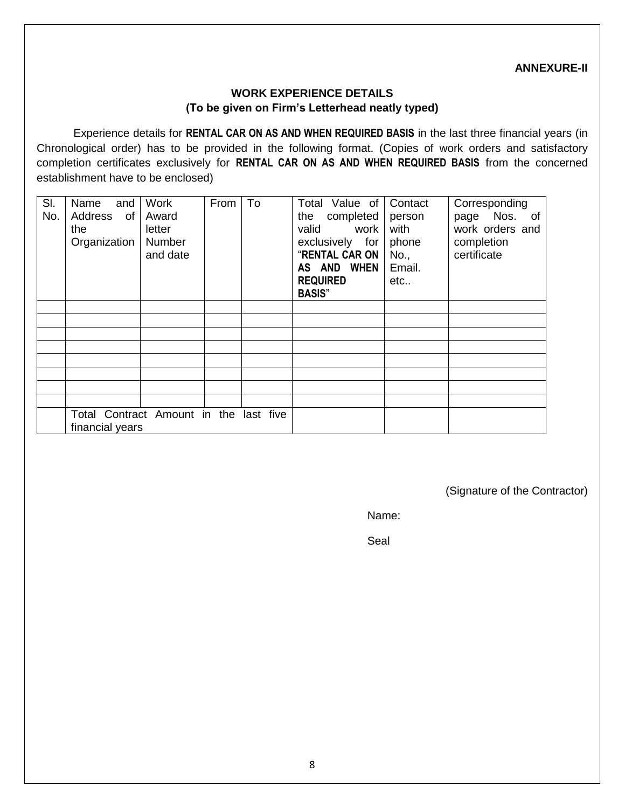#### **ANNEXURE-II**

#### **WORK EXPERIENCE DETAILS (To be given on Firm's Letterhead neatly typed)**

Experience details for **RENTAL CAR ON AS AND WHEN REQUIRED BASIS** in the last three financial years (in Chronological order) has to be provided in the following format. (Copies of work orders and satisfactory completion certificates exclusively for **RENTAL CAR ON AS AND WHEN REQUIRED BASIS** from the concerned establishment have to be enclosed)

| SI.<br>No. | Name<br>and<br>Address<br>of<br>the<br>Organization       | <b>Work</b><br>Award<br>letter<br>Number<br>and date | From | To | Total Value of<br>completed<br>the<br>work<br>valid<br>exclusively for<br>"RENTAL CAR ON<br>AS AND WHEN<br><b>REQUIRED</b><br><b>BASIS"</b> | Contact<br>person<br>with<br>phone<br>No.,<br>Email.<br>etc | Corresponding<br>page Nos. of<br>work orders and<br>completion<br>certificate |
|------------|-----------------------------------------------------------|------------------------------------------------------|------|----|---------------------------------------------------------------------------------------------------------------------------------------------|-------------------------------------------------------------|-------------------------------------------------------------------------------|
|            |                                                           |                                                      |      |    |                                                                                                                                             |                                                             |                                                                               |
|            |                                                           |                                                      |      |    |                                                                                                                                             |                                                             |                                                                               |
|            |                                                           |                                                      |      |    |                                                                                                                                             |                                                             |                                                                               |
|            |                                                           |                                                      |      |    |                                                                                                                                             |                                                             |                                                                               |
|            |                                                           |                                                      |      |    |                                                                                                                                             |                                                             |                                                                               |
|            |                                                           |                                                      |      |    |                                                                                                                                             |                                                             |                                                                               |
|            |                                                           |                                                      |      |    |                                                                                                                                             |                                                             |                                                                               |
|            |                                                           |                                                      |      |    |                                                                                                                                             |                                                             |                                                                               |
|            | Total Contract Amount in the last five<br>financial years |                                                      |      |    |                                                                                                                                             |                                                             |                                                                               |

(Signature of the Contractor)

Name:

Seal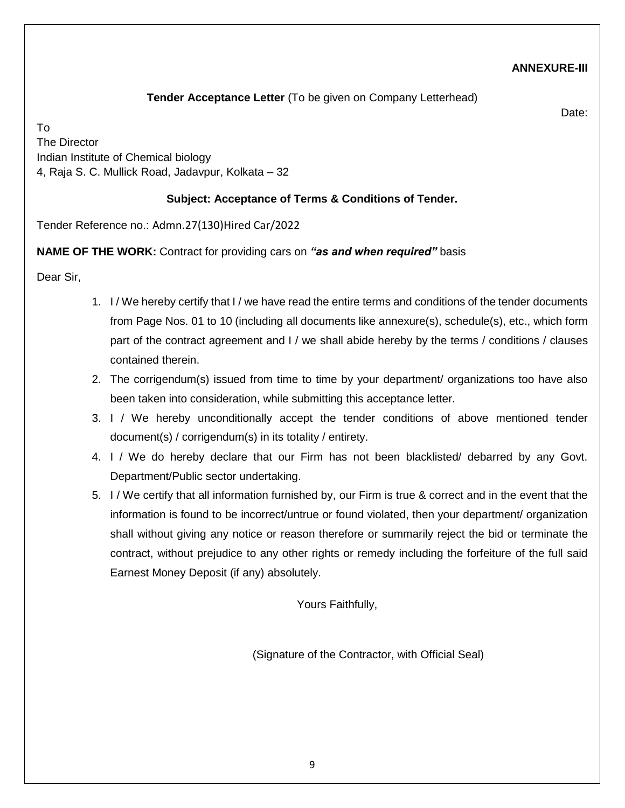#### **ANNEXURE-III**

**Tender Acceptance Letter** (To be given on Company Letterhead)

Date:

To The Director Indian Institute of Chemical biology 4, Raja S. C. Mullick Road, Jadavpur, Kolkata – 32

#### **Subject: Acceptance of Terms & Conditions of Tender.**

Tender Reference no.: Admn.27(130)Hired Car/2022

#### **NAME OF THE WORK:** Contract for providing cars on *"as and when required"* basis

Dear Sir,

- 1. I / We hereby certify that I / we have read the entire terms and conditions of the tender documents from Page Nos. 01 to 10 (including all documents like annexure(s), schedule(s), etc., which form part of the contract agreement and I / we shall abide hereby by the terms / conditions / clauses contained therein.
- 2. The corrigendum(s) issued from time to time by your department/ organizations too have also been taken into consideration, while submitting this acceptance letter.
- 3. I / We hereby unconditionally accept the tender conditions of above mentioned tender document(s) / corrigendum(s) in its totality / entirety.
- 4. I / We do hereby declare that our Firm has not been blacklisted/ debarred by any Govt. Department/Public sector undertaking.
- 5. I / We certify that all information furnished by, our Firm is true & correct and in the event that the information is found to be incorrect/untrue or found violated, then your department/ organization shall without giving any notice or reason therefore or summarily reject the bid or terminate the contract, without prejudice to any other rights or remedy including the forfeiture of the full said Earnest Money Deposit (if any) absolutely.

Yours Faithfully,

(Signature of the Contractor, with Official Seal)